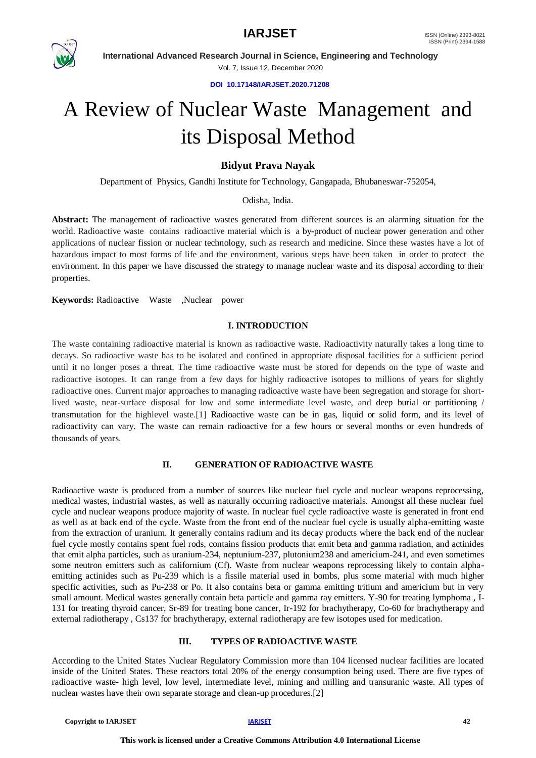



**International Advanced Research Journal in Science, Engineering and Technology** Vol. 7, Issue 12, December 2020

**DOI 10.17148/IARJSET.2020.71208**

# A Review of Nuclear Waste Management and its Disposal Method

# **Bidyut Prava Nayak**

Department of Physics, Gandhi Institute for Technology, Gangapada, Bhubaneswar-752054,

# Odisha, India.

**Abstract:** The management of radioactive wastes generated from different sources is an alarming situation for the world. Radioactive waste contains radioactive material which is a by-product of nuclear power generation and other applications of nuclear fission or nuclear technology, such as research and medicine. Since these wastes have a lot of hazardous impact to most forms of life and the environment, various steps have been taken in order to protect the environment. In this paper we have discussed the strategy to manage nuclear waste and its disposal according to their properties.

**Keywords:** Radioactive Waste ,Nuclear power

# **I. INTRODUCTION**

The waste containing radioactive material is known as radioactive waste. Radioactivity naturally takes a long time to decays. So radioactive waste has to be isolated and confined in appropriate disposal facilities for a sufficient period until it no longer poses a threat. The time radioactive waste must be stored for depends on the type of waste and radioactive isotopes. It can range from a few days for highly radioactive isotopes to millions of years for slightly radioactive ones. Current major approaches to managing radioactive waste have been segregation and storage for shortlived waste, near-surface disposal for low and some intermediate level waste, and deep burial or partitioning / transmutation for the highlevel waste.[1] Radioactive waste can be in gas, liquid or solid form, and its level of radioactivity can vary. The waste can remain radioactive for a few hours or several months or even hundreds of thousands of years.

# **II. GENERATION OF RADIOACTIVE WASTE**

Radioactive waste is produced from a number of sources like nuclear fuel cycle and nuclear weapons reprocessing, medical wastes, industrial wastes, as well as naturally occurring radioactive materials. Amongst all these nuclear fuel cycle and nuclear weapons produce majority of waste. In nuclear fuel cycle radioactive waste is generated in front end as well as at back end of the cycle. Waste from the front end of the nuclear fuel cycle is usually alpha-emitting waste from the extraction of uranium. It generally contains radium and its decay products where the back end of the nuclear fuel cycle mostly contains spent fuel rods, contains fission products that emit beta and gamma radiation, and actinides that emit alpha particles, such as uranium-234, neptunium-237, plutonium238 and americium-241, and even sometimes some neutron emitters such as californium (Cf). Waste from nuclear weapons reprocessing likely to contain alphaemitting actinides such as Pu-239 which is a fissile material used in bombs, plus some material with much higher specific activities, such as Pu-238 or Po. It also contains beta or gamma emitting tritium and americium but in very small amount. Medical wastes generally contain beta particle and gamma ray emitters. Y-90 for treating lymphoma , I-131 for treating thyroid cancer, Sr-89 for treating bone cancer, Ir-192 for brachytherapy, Co-60 for brachytherapy and external radiotherapy , Cs137 for brachytherapy, external radiotherapy are few isotopes used for medication.

# **III. TYPES OF RADIOACTIVE WASTE**

According to the United States Nuclear Regulatory Commission more than 104 licensed nuclear facilities are located inside of the United States. These reactors total 20% of the energy consumption being used. There are five types of radioactive waste- high level, low level, intermediate level, mining and milling and transuranic waste. All types of nuclear wastes have their own separate storage and clean-up procedures.[2]

```
Copyright to IARJSET 122 IARJSET 122 IARJSET 122 123 123 123 123 123 123 123 123 123 123 123 123 123 123 123 123 123 123 123 123 123 123 123 123 123 123 123
```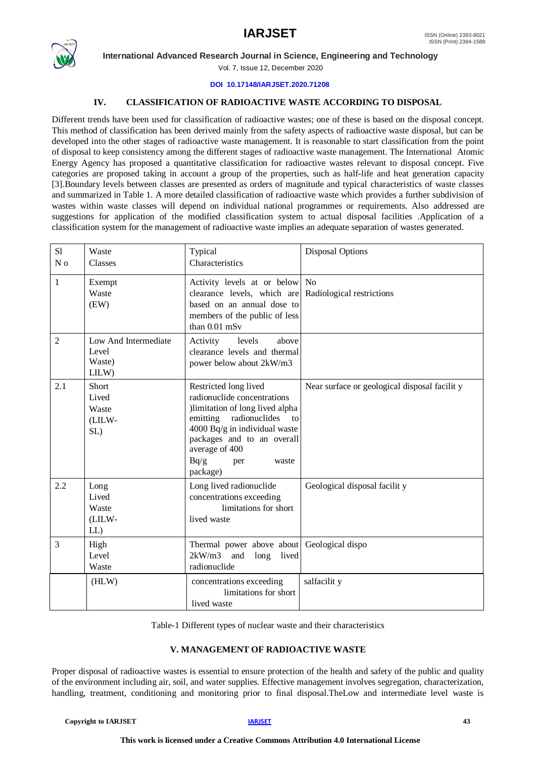

**International Advanced Research Journal in Science, Engineering and Technology**

Vol. 7, Issue 12, December 2020

#### **DOI 10.17148/IARJSET.2020.71208**

# **IV. CLASSIFICATION OF RADIOACTIVE WASTE ACCORDING TO DISPOSAL**

Different trends have been used for classification of radioactive wastes; one of these is based on the disposal concept. This method of classification has been derived mainly from the safety aspects of radioactive waste disposal, but can be developed into the other stages of radioactive waste management. It is reasonable to start classification from the point of disposal to keep consistency among the different stages of radioactive waste management. The International Atomic Energy Agency has proposed a quantitative classification for radioactive wastes relevant to disposal concept. Five categories are proposed taking in account a group of the properties, such as half-life and heat generation capacity [3].Boundary levels between classes are presented as orders of magnitude and typical characteristics of waste classes and summarized in Table 1. A more detailed classification of radioactive waste which provides a further subdivision of wastes within waste classes will depend on individual national programmes or requirements. Also addressed are suggestions for application of the modified classification system to actual disposal facilities .Application of a classification system for the management of radioactive waste implies an adequate separation of wastes generated.

| S1<br>N <sub>0</sub> | Waste<br><b>Classes</b>                          | Typical<br>Characteristics                                                                                                                                                                                                                   | <b>Disposal Options</b>                      |
|----------------------|--------------------------------------------------|----------------------------------------------------------------------------------------------------------------------------------------------------------------------------------------------------------------------------------------------|----------------------------------------------|
| $\mathbf{1}$         | Exempt<br>Waste<br>(EW)                          | Activity levels at or below No<br>clearance levels, which are<br>based on an annual dose to<br>members of the public of less<br>than 0.01 mSv                                                                                                | Radiological restrictions                    |
| $\overline{2}$       | Low And Intermediate<br>Level<br>Waste)<br>LILW) | Activity<br>above<br>levels<br>clearance levels and thermal<br>power below about 2kW/m3                                                                                                                                                      |                                              |
| 2.1                  | Short<br>Lived<br>Waste<br>(LILW-<br>SL)         | Restricted long lived<br>radionuclide concentrations<br>)limitation of long lived alpha<br>emitting radionuclides<br>to<br>4000 Bq/g in individual waste<br>packages and to an overall<br>average of 400<br>Bq/g<br>per<br>waste<br>package) | Near surface or geological disposal facility |
| 2.2                  | Long<br>Lived<br>Waste<br>(LILW-<br>$LL$ )       | Long lived radionuclide<br>concentrations exceeding<br>limitations for short<br>lived waste                                                                                                                                                  | Geological disposal facilit y                |
| 3                    | High<br>Level<br>Waste                           | Thermal power above about<br>$2kW/m3$ and long<br>lived<br>radionuclide                                                                                                                                                                      | Geological dispo                             |
|                      | (HLW)                                            | concentrations exceeding<br>limitations for short<br>lived waste                                                                                                                                                                             | salfacilit y                                 |

Table-1 Different types of nuclear waste and their characteristics

# **V. MANAGEMENT OF RADIOACTIVE WASTE**

Proper disposal of radioactive wastes is essential to ensure protection of the health and safety of the public and quality of the environment including air, soil, and water supplies. Effective management involves segregation, characterization, handling, treatment, conditioning and monitoring prior to final disposal.TheLow and intermediate level waste is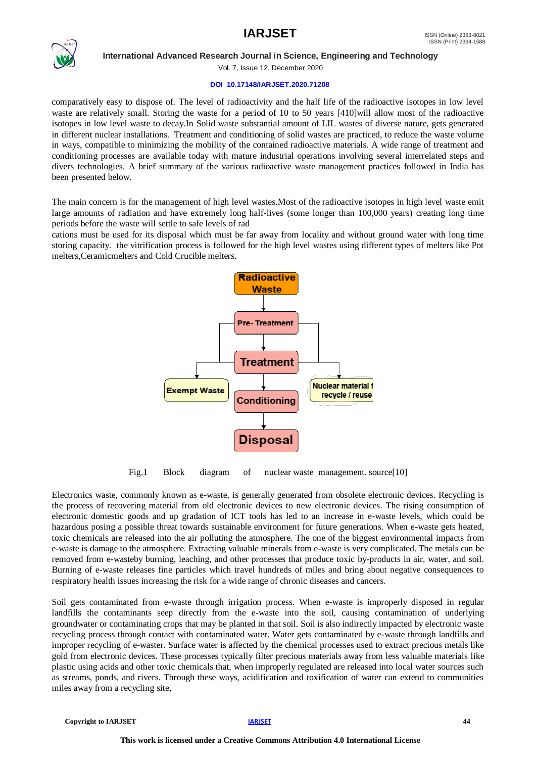# $\textbf{RJSET}$  issn (Online) 2393-8021



**International Advanced Research Journal in Science, Engineering and Technology**

Vol. 7, Issue 12, December 2020

#### **DOI 10.17148/IARJSET.2020.71208**

comparatively easy to dispose of. The level of radioactivity and the half life of the radioactive isotopes in low level waste are relatively small. Storing the waste for a period of 10 to 50 years [410]will allow most of the radioactive isotopes in low level waste to decay.In Solid waste substantial amount of LIL wastes of diverse nature, gets generated in different nuclear installations. Treatment and conditioning of solid wastes are practiced, to reduce the waste volume in ways, compatible to minimizing the mobility of the contained radioactive materials. A wide range of treatment and conditioning processes are available today with mature industrial operations involving several interrelated steps and divers technologies. A brief summary of the various radioactive waste management practices followed in India has been presented below.

The main concern is for the management of high level wastes.Most of the radioactive isotopes in high level waste emit large amounts of radiation and have extremely long half-lives (some longer than 100,000 years) creating long time periods before the waste will settle to safe levels of rad

cations must be used for its disposal which must be far away from locality and without ground water with long time storing capacity. the vitrification process is followed for the high level wastes using different types of melters like Pot melters,Ceramicmelters and Cold Crucible melters.



Fig.1 Block diagram of nuclear waste management. source[10]

Electronics waste, commonly known as e-waste, is generally generated from obsolete electronic devices. Recycling is the process of recovering material from old electronic devices to new electronic devices. The rising consumption of electronic domestic goods and up gradation of ICT tools has led to an increase in e-waste levels, which could be hazardous posing a possible threat towards sustainable environment for future generations. When e-waste gets heated, toxic chemicals are released into the air polluting the atmosphere. The one of the biggest environmental impacts from e-waste is damage to the atmosphere. Extracting valuable minerals from e-waste is very complicated. The metals can be removed from e-wasteby burning, leaching, and other processes that produce toxic by-products in air, water, and soil. Burning of e-waste releases fine particles which travel hundreds of miles and bring about negative consequences to respiratory health issues increasing the risk for a wide range of chronic diseases and cancers.

Soil gets contaminated from e-waste through irrigation process. When e-waste is improperly disposed in regular landfills the contaminants seep directly from the e-waste into the soil, causing contamination of underlying groundwater or contaminating crops that may be planted in that soil. Soil is also indirectly impacted by electronic waste recycling process through contact with contaminated water. Water gets contaminated by e-waste through landfills and improper recycling of e-waster. Surface water is affected by the chemical processes used to extract precious metals like gold from electronic devices. These processes typically filter precious materials away from less valuable materials like plastic using acids and other toxic chemicals that, when improperly regulated are released into local water sources such as streams, ponds, and rivers. Through these ways, acidification and toxification of water can extend to communities miles away from a recycling site,